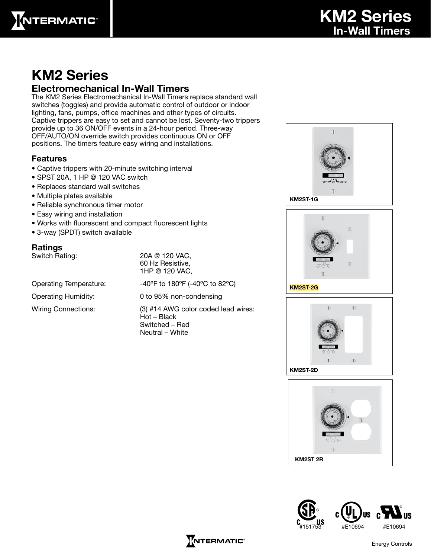

## KM2 Series

### Electromechanical In-Wall Timers

The KM2 Series Electromechanical In-Wall Timers replace standard wall switches (toggles) and provide automatic control of outdoor or indoor lighting, fans, pumps, office machines and other types of circuits. Captive trippers are easy to set and cannot be lost. Seventy-two trippers provide up to 36 ON/OFF events in a 24-hour period. Three-way OFF/AUTO/ON override switch provides continuous ON or OFF positions. The timers feature easy wiring and installations.

#### Features

- Captive trippers with 20-minute switching interval
- SPST 20A, 1 HP @ 120 VAC switch
- Replaces standard wall switches
- Multiple plates available
- Reliable synchronous timer motor
- Easy wiring and installation
- Works with fluorescent and compact fluorescent lights
- 3-way (SPDT) switch available

#### Ratings

Switch Rating: 20A @ 120 VAC, 60 Hz Resistive, 1HP @ 120 VAC,

Operating Temperature:  $-40^{\circ}$ F to 180°F (-40°C to 82°C) Operating Humidity: 0 to 95% non-condensing

Wiring Connections: (3) #14 AWG color coded lead wires: Hot – Black Switched – Red Neutral – White